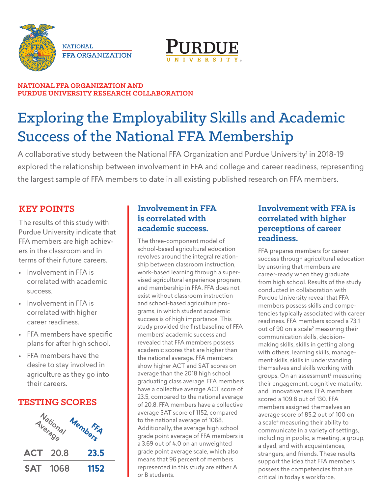



#### **NATIONAL FFA ORGANIZATION AND PURDUE UNIVERSITY RESEARCH COLLABORATION**

# Exploring the Employability Skills and Academic Success of the National FFA Membership

A collaborative study between the National FFA Organization and Purdue University<sup>1</sup> in 2018-19 explored the relationship between involvement in FFA and college and career readiness, representing the largest sample of FFA members to date in all existing published research on FFA members.

### **KEY POINTS**

The results of this study with Purdue University indicate that FFA members are high achievers in the classroom and in terms of their future careers.

- Involvement in FFA is correlated with academic success.
- Involvement in FFA is correlated with higher career readiness.
- FFA members have specific plans for after high school.
- FFA members have the desire to stay involved in agriculture as they go into their careers.

### **TESTING SCORES**



#### **Involvement in FFA is correlated with academic success.**

The three-component model of school-based agricultural education revolves around the integral relationship between classroom instruction, work-based learning through a supervised agricultural experience program, and membership in FFA. FFA does not exist without classroom instruction and school-based agriculture programs, in which student academic success is of high importance. This study provided the first baseline of FFA members' academic success and revealed that FFA members possess academic scores that are higher than the national average. FFA members show higher ACT and SAT scores on average than the 2018 high school graduating class average. FFA members have a collective average ACT score of 23.5, compared to the national average of 20.8. FFA members have a collective average SAT score of 1152, compared to the national average of 1068. Additionally, the average high school grade point average of FFA members is a 3.69 out of 4.0 on an unweighted grade point average scale, which also means that 96 percent of members represented in this study are either A or B students.

#### **Involvement with FFA is correlated with higher perceptions of career readiness.**

FFA prepares members for career success through agricultural education by ensuring that members are career-ready when they graduate from high school. Results of the study conducted in collaboration with Purdue University reveal that FFA members possess skills and competencies typically associated with career readiness. FFA members scored a 73.1 out of 90 on a scale<sup>2</sup> measuring their communication skills, decisionmaking skills, skills in getting along with others, learning skills, management skills, skills in understanding themselves and skills working with groups. On an assessment<sup>3</sup> measuring their engagement, cognitive maturity, and innovativeness, FFA members scored a 109.8 out of 130. FFA members assigned themselves an average score of 85.2 out of 100 on a scale<sup>4</sup> measuring their ability to communicate in a variety of settings, including in public, a meeting, a group, a dyad, and with acquaintances, strangers, and friends. These results support the idea that FFA members possess the competencies that are critical in today's workforce.